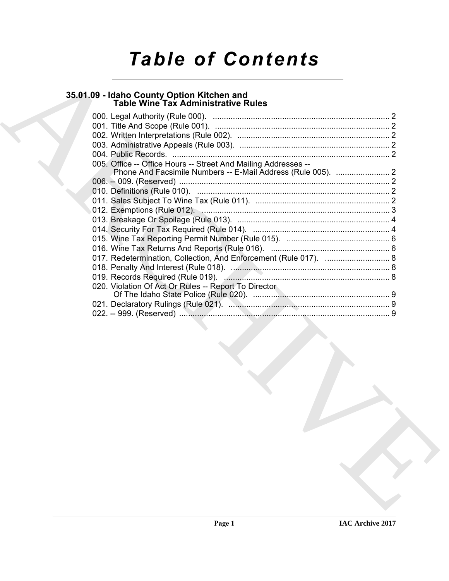# *Table of Contents*

## **35.01.09 - Idaho County Option Kitchen and Table Wine Tax Administrative Rules**

| 005. Office -- Office Hours -- Street And Mailing Addresses --<br>017. Redetermination, Collection, And Enforcement (Rule 017).  8<br>020. Violation Of Act Or Rules -- Report To Director |
|--------------------------------------------------------------------------------------------------------------------------------------------------------------------------------------------|
|                                                                                                                                                                                            |
|                                                                                                                                                                                            |
|                                                                                                                                                                                            |
|                                                                                                                                                                                            |
|                                                                                                                                                                                            |
|                                                                                                                                                                                            |
|                                                                                                                                                                                            |
|                                                                                                                                                                                            |
|                                                                                                                                                                                            |
|                                                                                                                                                                                            |
|                                                                                                                                                                                            |
|                                                                                                                                                                                            |
|                                                                                                                                                                                            |
|                                                                                                                                                                                            |
|                                                                                                                                                                                            |
|                                                                                                                                                                                            |
|                                                                                                                                                                                            |
|                                                                                                                                                                                            |
|                                                                                                                                                                                            |
|                                                                                                                                                                                            |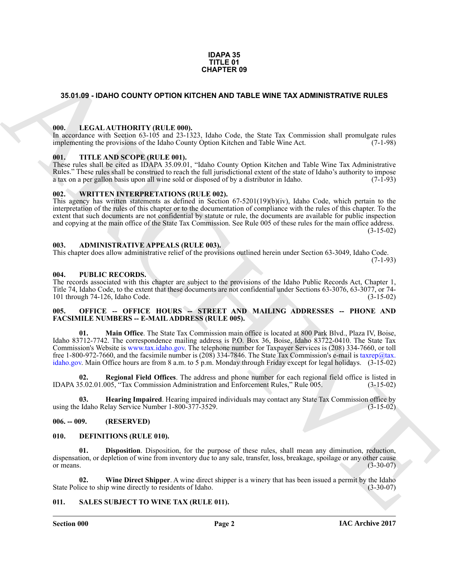#### **IDAPA 35 TITLE 01 CHAPTER 09**

#### <span id="page-1-0"></span>**35.01.09 - IDAHO COUNTY OPTION KITCHEN AND TABLE WINE TAX ADMINISTRATIVE RULES**

#### <span id="page-1-1"></span>**000. LEGAL AUTHORITY (RULE 000).**

In accordance with Section 63-105 and 23-1323, Idaho Code, the State Tax Commission shall promulgate rules implementing the provisions of the Idaho County Option Kitchen and Table Wine Act. (7-1-98)

#### <span id="page-1-2"></span>**001. TITLE AND SCOPE (RULE 001).**

These rules shall be cited as IDAPA 35.09.01, "Idaho County Option Kitchen and Table Wine Tax Administrative Rules." These rules shall be construed to reach the full jurisdictional extent of the state of Idaho's authority to impose a tax on a per gallon basis upon all wine sold or disposed of by a distributor in Idaho. (7-1-93)

#### <span id="page-1-3"></span>**002. WRITTEN INTERPRETATIONS (RULE 002).**

This agency has written statements as defined in Section 67-5201(19)(b)(iv), Idaho Code, which pertain to the interpretation of the rules of this chapter or to the documentation of compliance with the rules of this chapter. To the extent that such documents are not confidential by statute or rule, the documents are available for public inspection and copying at the main office of the State Tax Commission. See Rule 005 of these rules for the main office address.  $(3-15-02)$ 

#### <span id="page-1-4"></span>**003. ADMINISTRATIVE APPEALS (RULE 003).**

This chapter does allow administrative relief of the provisions outlined herein under Section 63-3049, Idaho Code. (7-1-93)

#### <span id="page-1-5"></span>**004. PUBLIC RECORDS.**

The records associated with this chapter are subject to the provisions of the Idaho Public Records Act, Chapter 1, Title 74, Idaho Code, to the extent that these documents are not confidential under Sections 63-3076, 63-3077, or 74-<br>101 through 74-126, Idaho Code. (3-15-02) 101 through  $74-126$ , Idaho Code.

#### <span id="page-1-6"></span>005. OFFICE -- OFFICE HOURS -- STREET AND MAILING ADDRESSES -- PHONE AND **FACSIMILE NUMBERS -- E-MAIL ADDRESS (RULE 005).**

**SAO 1.89 - IDANO COUNTY OF TIG[H](http://www.tax.idaho.gov)T AND THE E[V](mailto:taxrep@tax. idaho.gov)ALUATION TRAFFIC ROW COMMISSION CONTINUES IN A SURVEY ON A SURVEY ON THE CONTINUES IN A SURVEY OF THE CONTINUES IN A SURVEY OF THE CONTINUES IN A SURVEY OF THE CONTINUES IN A SU 01. Main Office**. The State Tax Commission main office is located at 800 Park Blvd., Plaza IV, Boise, Idaho 83712-7742. The correspondence mailing address is P.O. Box 36, Boise, Idaho 83722-0410. The State Tax Commission's Website is www.tax.idaho.gov. The telephone number for Taxpayer Services is (208) 334-7660, or toll free 1-800-972-7660, and the facsimile number is (208) 334-7846. The State Tax Commission's e-mail is taxrep@tax. idaho.gov. Main Office hours are from 8 a.m. to 5 p.m. Monday through Friday except for legal holidays. (3-15-02)

**02. Regional Field Offices**. The address and phone number for each regional field office is listed in IDAPA 35.02.01.005, "Tax Commission Administration and Enforcement Rules," Rule 005. (3-15-02)

**Hearing Impaired**. Hearing impaired individuals may contact any State Tax Commission office by elay Service Number 1-800-377-3529. using the Idaho Relay Service Number 1-800-377-3529.

#### <span id="page-1-7"></span>**006. -- 009. (RESERVED)**

#### <span id="page-1-10"></span><span id="page-1-8"></span>**010. DEFINITIONS (RULE 010).**

<span id="page-1-11"></span>**01. Disposition**. Disposition, for the purpose of these rules, shall mean any diminution, reduction, dispensation, or depletion of wine from inventory due to any sale, transfer, loss, breakage, spoilage or any other cause<br>(3-30-07) or means.  $(3-30-07)$ 

<span id="page-1-12"></span>**02.** Wine Direct Shipper. A wine direct shipper is a winery that has been issued a permit by the Idaho ice to ship wine directly to residents of Idaho. State Police to ship wine directly to residents of Idaho.

#### <span id="page-1-13"></span><span id="page-1-9"></span>**011. SALES SUBJECT TO WINE TAX (RULE 011).**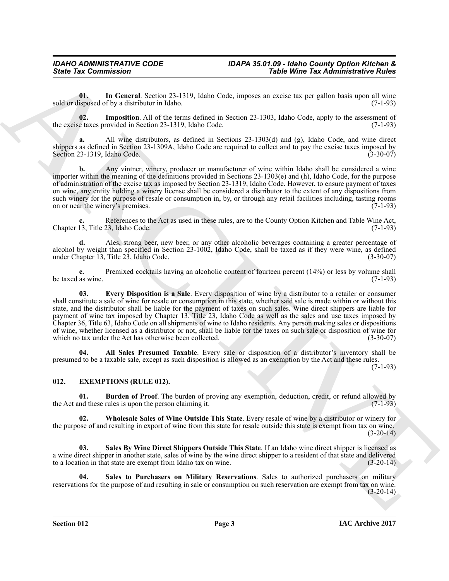<span id="page-2-9"></span>**01. In General**. Section 23-1319, Idaho Code, imposes an excise tax per gallon basis upon all wine sold or disposed of by a distributor in Idaho. (7-1-93)

<span id="page-2-8"></span>**02. Imposition**. All of the terms defined in Section 23-1303, Idaho Code, apply to the assessment of the excise taxes provided in Section 23-1319, Idaho Code. (7-1-93)

**a.** All wine distributors, as defined in Sections 23-1303(d) and (g), Idaho Code, and wine direct shippers as defined in Section 23-1309A, Idaho Code are required to collect and to pay the excise taxes imposed by Section 23-1319, Idaho Code. (3-30-07)

**b.** Any vintner, winery, producer or manufacturer of wine within Idaho shall be considered a wine importer within the meaning of the definitions provided in Sections 23-1303(e) and (h), Idaho Code, for the purpose of administration of the excise tax as imposed by Section 23-1319, Idaho Code. However, to ensure payment of taxes on wine, any entity holding a winery license shall be considered a distributor to the extent of any dispositions from such winery for the purpose of resale or consumption in, by, or through any retail facilities including, tasting rooms on or near the winery's premises. on or near the winery's premises.

References to the Act as used in these rules, are to the County Option Kitchen and Table Wine Act,<br>23. Idaho Code. (7-1-93) Chapter 13, Title 23, Idaho Code.

**d.** Ales, strong beer, new beer, or any other alcoholic beverages containing a greater percentage of alcohol by weight than specified in Section 23-1002, Idaho Code, shall be taxed as if they were wine, as defined under Chapter 13, Title 23, Idaho Code.

<span id="page-2-7"></span>**e.** Premixed cocktails having an alcoholic content of fourteen percent (14%) or less by volume shall as wine. (7-1-93) be taxed as wine.

Sinte Tax Commission<br>
Units of Commission Christian Control and Columbus and the Columbus and the Sinte Distribution (see Figure 2013)<br>
Sinte Since all the Columbus AIRC (1988) and Columbus and Columbus and Columbus and A **03. Every Disposition is a Sale**. Every disposition of wine by a distributor to a retailer or consumer shall constitute a sale of wine for resale or consumption in this state, whether said sale is made within or without this state, and the distributor shall be liable for the payment of taxes on such sales. Wine direct shippers are liable for payment of wine tax imposed by Chapter 13, Title 23, Idaho Code as well as the sales and use taxes imposed by Chapter 36, Title 63, Idaho Code on all shipments of wine to Idaho residents. Any person making sales or dispositions of wine, whether licensed as a distributor or not, shall be liable for the taxes on such sale or disposition of wine for which no tax under the Act has otherwise been collected.

<span id="page-2-6"></span>**04. All Sales Presumed Taxable**. Every sale or disposition of a distributor's inventory shall be presumed to be a taxable sale, except as such disposition is allowed as an exemption by the Act and these rules.

(7-1-93)

#### <span id="page-2-1"></span><span id="page-2-0"></span>**012. EXEMPTIONS (RULE 012).**

<span id="page-2-2"></span>**01. Burden of Proof**. The burden of proving any exemption, deduction, credit, or refund allowed by nd these rules is upon the person claiming it. (7-1-93) the Act and these rules is upon the person claiming it.

<span id="page-2-5"></span>**02. Wholesale Sales of Wine Outside This State**. Every resale of wine by a distributor or winery for the purpose of and resulting in export of wine from this state for resale outside this state is exempt from tax on wine.  $(3-20-14)$ 

<span id="page-2-3"></span>**03. Sales By Wine Direct Shippers Outside This State**. If an Idaho wine direct shipper is licensed as a wine direct shipper in another state, sales of wine by the wine direct shipper to a resident of that state and delivered to a location in that state are exempt from Idaho tax on wine. (3-20-14)

<span id="page-2-4"></span>**Sales to Purchasers on Military Reservations**. Sales to authorized purchasers on military reservations for the purpose of and resulting in sale or consumption on such reservation are exempt from tax on wine.  $(3-20-14)$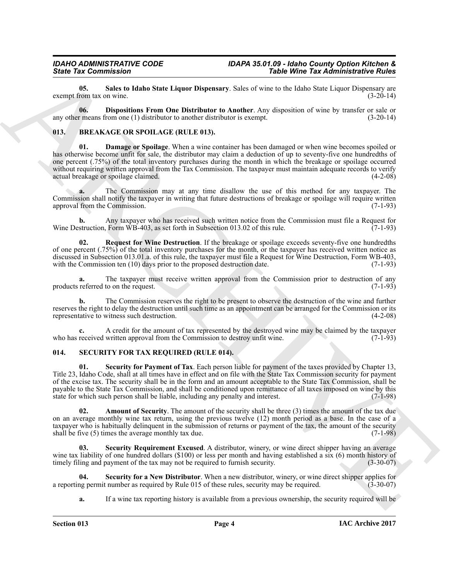<span id="page-3-6"></span>**05. Sales to Idaho State Liquor Dispensary**. Sales of wine to the Idaho State Liquor Dispensary are exempt from tax on wine.

<span id="page-3-5"></span>**06. Dispositions From One Distributor to Another**. Any disposition of wine by transfer or sale or any other means from one (1) distributor to another distributor is exempt. (3-20-14)

#### <span id="page-3-3"></span><span id="page-3-2"></span><span id="page-3-0"></span>**013. BREAKAGE OR SPOILAGE (RULE 013).**

Since Tax Commission 2 and the Universe Disputement, Since Universe Disputement, Since Universe Disputement, Since Universe Disputement, Since Universe Disputement (Application 2 and the Universe Disputement of the Univer **01. Damage or Spoilage**. When a wine container has been damaged or when wine becomes spoiled or has otherwise become unfit for sale, the distributor may claim a deduction of up to seventy-five one hundredths of one percent (.75%) of the total inventory purchases during the month in which the breakage or spoilage occurred without requiring written approval from the Tax Commission. The taxpayer must maintain adequate records to verify actual breakage or spoilage claimed. actual breakage or spoilage claimed.

**a.** The Commission may at any time disallow the use of this method for any taxpayer. The Commission shall notify the taxpayer in writing that future destructions of breakage or spoilage will require written approval from the Commission. (7-1-93) approval from the Commission.

**b.** Any taxpayer who has received such written notice from the Commission must file a Request for struction. Form WB-403, as set forth in Subsection 013.02 of this rule. (7-1-93) Wine Destruction, Form  $\overline{WB}$ -403, as set forth in Subsection 013.02 of this rule.

<span id="page-3-4"></span>**02. Request for Wine Destruction**. If the breakage or spoilage exceeds seventy-five one hundredths of one percent (.75%) of the total inventory purchases for the month, or the taxpayer has received written notice as discussed in Subsection 013.01.a. of this rule, the taxpayer must file a Request for Wine Destruction, Form WB-403, with the Commission ten (10) days prior to the proposed destruction date. (7-1-93)

**a.** The taxpayer must receive written approval from the Commission prior to destruction of any referred to on the request. (7-1-93) products referred to on the request.

**b.** The Commission reserves the right to be present to observe the destruction of the wine and further reserves the right to delay the destruction until such time as an appointment can be arranged for the Commission or its representative to witness such destruction. (4-2-08) representative to witness such destruction.

A credit for the amount of tax represented by the destroyed wine may be claimed by the taxpayer written approval from the Commission to destroy unfit wine. (7-1-93) who has received written approval from the Commission to destroy unfit wine.

#### <span id="page-3-7"></span><span id="page-3-1"></span>**014. SECURITY FOR TAX REQUIRED (RULE 014).**

<span id="page-3-10"></span>**01. Security for Payment of Tax**. Each person liable for payment of the taxes provided by Chapter 13, Title 23, Idaho Code, shall at all times have in effect and on file with the State Tax Commission security for payment of the excise tax. The security shall be in the form and an amount acceptable to the State Tax Commission, shall be payable to the State Tax Commission, and shall be conditioned upon remittance of all taxes imposed on wine by this state for which such person shall be liable, including any penalty and interest. (7-1-98)

<span id="page-3-8"></span>**02.** Amount of Security. The amount of the security shall be three (3) times the amount of the tax due on an average monthly wine tax return, using the previous twelve (12) month period as a base. In the case of a taxpayer who is habitually delinquent in the submission of returns or payment of the tax, the amount of the security shall be five (5) times the average monthly tax due. (7-1-98)

<span id="page-3-11"></span>Security Requirement Excused. A distributor, winery, or wine direct shipper having an average wine tax liability of one hundred dollars (\$100) or less per month and having established a six (6) month history of timely filing and payment of the tax may not be required to furnish security. (3-30-07)

**04.** Security for a New Distributor. When a new distributor, winery, or wine direct shipper applies for a permit number as required by Rule 015 of these rules, security may be required. (3-30-07) a reporting permit number as required by Rule 015 of these rules, security may be required.

<span id="page-3-9"></span>**a.** If a wine tax reporting history is available from a previous ownership, the security required will be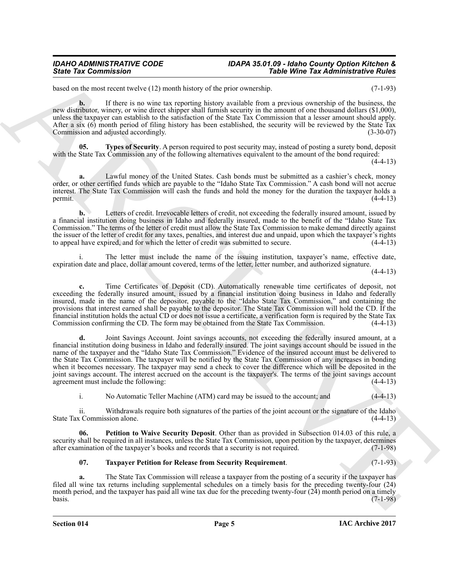#### *IDAHO ADMINISTRATIVE CODE IDAPA 35.01.09 - Idaho County Option Kitchen & State Tax Commission Table Wine Tax Administrative Rules*

based on the most recent twelve (12) month history of the prior ownership. (7-1-93)

**b.** If there is no wine tax reporting history available from a previous ownership of the business, the new distributor, winery, or wine direct shipper shall furnish security in the amount of one thousand dollars (\$1,000), unless the taxpayer can establish to the satisfaction of the State Tax Commission that a lesser amount should apply. After a six (6) month period of filing history has been established, the security will be reviewed by the State Tax<br>Commission and adjusted accordingly. Commission and adjusted accordingly.

<span id="page-4-2"></span>**05. Types of Security**. A person required to post security may, instead of posting a surety bond, deposit with the State Tax Commission any of the following alternatives equivalent to the amount of the bond required:

 $(4-4-13)$ 

**a.** Lawful money of the United States. Cash bonds must be submitted as a cashier's check, money order, or other certified funds which are payable to the "Idaho State Tax Commission." A cash bond will not accrue interest. The State Tax Commission will cash the funds and hold the money for the duration the taxpayer holds a permit.  $(4-4-13)$ 

**b.** Letters of credit. Irrevocable letters of credit, not exceeding the federally insured amount, issued by a financial institution doing business in Idaho and federally insured, made to the benefit of the "Idaho State Tax Commission." The terms of the letter of credit must allow the State Tax Commission to make demand directly against the issuer of the letter of credit for any taxes, penalties, and interest due and unpaid, upon which the taxpayer's rights to appeal have expired, and for which the letter of credit was submitted to secure. (4-4-13) to appeal have expired, and for which the letter of credit was submitted to secure.

The letter must include the name of the issuing institution, taxpayer's name, effective date, expiration date and place, dollar amount covered, terms of the letter, letter number, and authorized signature.

(4-4-13)

**c.** Time Certificates of Deposit (CD). Automatically renewable time certificates of deposit, not exceeding the federally insured amount, issued by a financial institution doing business in Idaho and federally insured, made in the name of the depositor, payable to the "Idaho State Tax Commission," and containing the provisions that interest earned shall be payable to the depositor. The State Tax Commission will hold the CD. If the financial institution holds the actual CD or does not issue a certificate, a verification form is required by the State Tax Commission confirming the CD. The form may be obtained from the State Tax Commission. (4-4-13)

Since Tax Commission<br>
Youke Wine Tax Administrative Filips and haloes of the pass exaction a receiver and commission for haloes and<br>
Halo and the second technique in the second state of the second state of the base of the **d.** Joint Savings Account. Joint savings accounts, not exceeding the federally insured amount, at a financial institution doing business in Idaho and federally insured. The joint savings account should be issued in the name of the taxpayer and the "Idaho State Tax Commission." Evidence of the insured account must be delivered to the State Tax Commission. The taxpayer will be notified by the State Tax Commission of any increases in bonding when it becomes necessary. The taxpayer may send a check to cover the difference which will be deposited in the joint savings account. The interest accrued on the account is the taxpayer's. The terms of the joint savings account agreement must include the following:

<span id="page-4-0"></span>i. No Automatic Teller Machine (ATM) card may be issued to the account; and (4-4-13)

ii. Withdrawals require both signatures of the parties of the joint account or the signature of the Idaho (4-4-13) State Tax Commission alone.

**06. Petition to Waive Security Deposit**. Other than as provided in Subsection 014.03 of this rule, a security shall be required in all instances, unless the State Tax Commission, upon petition by the taxpayer, determines after examination of the taxpayer's books and records that a security is not required. (7-1-98) after examination of the taxpayer's books and records that a security is not required.

#### <span id="page-4-1"></span>**07. Taxpayer Petition for Release from Security Requirement**. (7-1-93)

**a.** The State Tax Commission will release a taxpayer from the posting of a security if the taxpayer has filed all wine tax returns including supplemental schedules on a timely basis for the preceding twenty-four (24) month period, and the taxpayer has paid all wine tax due for the preceding twenty-four (24) month period on a timely<br>(7-1-98) basis. (7-1-98)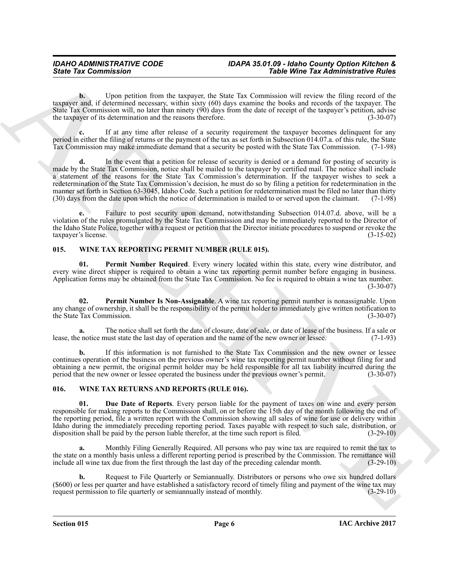**b.** Upon petition from the taxpayer, the State Tax Commission will review the filing record of the taxpayer and, if determined necessary, within sixty (60) days examine the books and records of the taxpayer. The State Tax Commission will, no later than ninety (90) days from the date of receipt of the taxpayer's petition, advise the taxpayer of its determination and the reasons therefore. (3-30-07)

**c.** If at any time after release of a security requirement the taxpayer becomes delinquent for any period in either the filing of returns or the payment of the tax as set forth in Subsection 014.07.a. of this rule, the State Tax Commission may make immediate demand that a security be posted with the State Tax Commission. (7-1-98)

Since Yac Commission "Yable Wine Yack Commission" "Yable Wine Yack Commission will everywhere the expectation of the strength of the strength of the strength of the strength of the strength of the strength of the strength **d.** In the event that a petition for release of security is denied or a demand for posting of security is made by the State Tax Commission, notice shall be mailed to the taxpayer by certified mail. The notice shall include a statement of the reasons for the State Tax Commission's determination. If the taxpayer wishes to seek a redetermination of the State Tax Commission's decision, he must do so by filing a petition for redetermination in the manner set forth in Section 63-3045, Idaho Code. Such a petition for redetermination must be filed no later than thirty (30) days from the date upon which the notice of determination is mailed to or served upon the claiman (30) days from the date upon which the notice of determination is mailed to or served upon the claimant.

**e.** Failure to post security upon demand, notwithstanding Subsection 014.07.d. above, will be a violation of the rules promulgated by the State Tax Commission and may be immediately reported to the Director of the Idaho State Police, together with a request or petition that the Director initiate procedures to suspend or revoke the taxpayer's license. (3-15-02)

#### <span id="page-5-2"></span><span id="page-5-0"></span>**015. WINE TAX REPORTING PERMIT NUMBER (RULE 015).**

<span id="page-5-4"></span>**01. Permit Number Required**. Every winery located within this state, every wine distributor, and every wine direct shipper is required to obtain a wine tax reporting permit number before engaging in business. Application forms may be obtained from the State Tax Commission. No fee is required to obtain a wine tax number.  $(3-30-07)$ 

<span id="page-5-3"></span>**02. Permit Number Is Non-Assignable**. A wine tax reporting permit number is nonassignable. Upon any change of ownership, it shall be the responsibility of the permit holder to immediately give written notification to the State Tax Commission. (3-30-07) the State Tax Commission.

**a.** The notice shall set forth the date of closure, date of sale, or date of lease of the business. If a sale or notice must state the last day of operation and the name of the new owner or lessee. (7-1-93) lease, the notice must state the last day of operation and the name of the new owner or lessee.

**b.** If this information is not furnished to the State Tax Commission and the new owner or lessee continues operation of the business on the previous owner's wine tax reporting permit number without filing for and obtaining a new permit, the original permit holder may be held responsible for all tax liability incurred during the period that the new owner or lessee operated the business under the previous owner's permit. (3-30-07) period that the new owner or lessee operated the business under the previous owner's permit.

#### <span id="page-5-5"></span><span id="page-5-1"></span>**016. WINE TAX RETURNS AND REPORTS (RULE 016).**

<span id="page-5-6"></span>**01. Due Date of Reports**. Every person liable for the payment of taxes on wine and every person responsible for making reports to the Commission shall, on or before the 15th day of the month following the end of the reporting period, file a written report with the Commission showing all sales of wine for use or delivery within Idaho during the immediately preceding reporting period. Taxes payable with respect to such sale, distribution, or disposition shall be paid by the person liable therefor, at the time such report is filed. (3-29-10)

**a.** Monthly Filing Generally Required. All persons who pay wine tax are required to remit the tax to the state on a monthly basis unless a different reporting period is prescribed by the Commission. The remittance will include all wine tax due from the first through the last day of the preceding calendar month. (3-29-10)

**b.** Request to File Quarterly or Semiannually. Distributors or persons who owe six hundred dollars (\$600) or less per quarter and have established a satisfactory record of timely filing and payment of the wine tax may request permission to file quarterly or semiannually instead of monthly.  $(3-29-10)$ request permission to file quarterly or semiannually instead of monthly.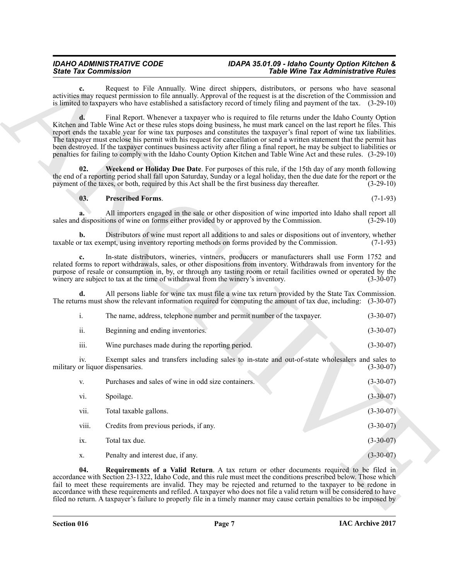#### *IDAHO ADMINISTRATIVE CODE IDAPA 35.01.09 - Idaho County Option Kitchen & State Tax Commission Table Wine Tax Administrative Rules*

#### <span id="page-6-2"></span><span id="page-6-0"></span>**03. Prescribed Forms**. (7-1-93)

<span id="page-6-1"></span>

|                  | The name, address, telephone number and permit number of the taxpayer.                                                               | $(3-30-07)$ |
|------------------|--------------------------------------------------------------------------------------------------------------------------------------|-------------|
| 11.              | Beginning and ending inventories.                                                                                                    | $(3-30-07)$ |
| $\cdots$<br>111. | Wine purchases made during the reporting period.                                                                                     | $(3-30-07)$ |
| $1V_{\odot}$     | Exempt sales and transfers including sales to in-state and out-of-state wholesalers and sales to<br>military or liquor dispensaries. | $(3-30-07)$ |

| <b>State Tax Commission</b>             |                                                                                  | <b>Table Wine Tax Administrative Rules</b>                                                                                                                                                                                                                                                                                                                                                                                                                                                                                                                                                                                                                                                                                          |                 |
|-----------------------------------------|----------------------------------------------------------------------------------|-------------------------------------------------------------------------------------------------------------------------------------------------------------------------------------------------------------------------------------------------------------------------------------------------------------------------------------------------------------------------------------------------------------------------------------------------------------------------------------------------------------------------------------------------------------------------------------------------------------------------------------------------------------------------------------------------------------------------------------|-----------------|
| c.                                      |                                                                                  | Request to File Annually. Wine direct shippers, distributors, or persons who have seasonal<br>activities may request permission to file annually. Approval of the request is at the discretion of the Commission and<br>is limited to taxpayers who have established a satisfactory record of timely filing and payment of the tax. (3-29-10)                                                                                                                                                                                                                                                                                                                                                                                       |                 |
| d.                                      |                                                                                  | Final Report. Whenever a taxpayer who is required to file returns under the Idaho County Option<br>Kitchen and Table Wine Act or these rules stops doing business, he must mark cancel on the last report he files. This<br>report ends the taxable year for wine tax purposes and constitutes the taxpayer's final report of wine tax liabilities.<br>The taxpayer must enclose his permit with his request for cancellation or send a written statement that the permit has<br>been destroyed. If the taxpayer continues business activity after filing a final report, he may be subject to liabilities or<br>penalties for failing to comply with the Idaho County Option Kitchen and Table Wine Act and these rules. (3-29-10) |                 |
| 02.                                     |                                                                                  | Weekend or Holiday Due Date. For purposes of this rule, if the 15th day of any month following<br>the end of a reporting period shall fall upon Saturday, Sunday or a legal holiday, then the due date for the report or the<br>payment of the taxes, or both, required by this Act shall be the first business day thereafter.                                                                                                                                                                                                                                                                                                                                                                                                     |                 |
| 03.                                     | <b>Prescribed Forms.</b>                                                         |                                                                                                                                                                                                                                                                                                                                                                                                                                                                                                                                                                                                                                                                                                                                     | $(7-1-93)$      |
|                                         |                                                                                  | All importers engaged in the sale or other disposition of wine imported into Idaho shall report all<br>sales and dispositions of wine on forms either provided by or approved by the Commission.                                                                                                                                                                                                                                                                                                                                                                                                                                                                                                                                    | $(3-29-10)$     |
| b.                                      |                                                                                  | Distributors of wine must report all additions to and sales or dispositions out of inventory, whether<br>taxable or tax exempt, using inventory reporting methods on forms provided by the Commission.                                                                                                                                                                                                                                                                                                                                                                                                                                                                                                                              | $(7-1-93)$      |
| c.                                      | winery are subject to tax at the time of withdrawal from the winery's inventory. | In-state distributors, wineries, vintners, producers or manufacturers shall use Form 1752 and<br>related forms to report withdrawals, sales, or other dispositions from inventory. Withdrawals from inventory for the<br>purpose of resale or consumption in, by, or through any tasting room or retail facilities owned or operated by the                                                                                                                                                                                                                                                                                                                                                                                         | $(3-30-07)$     |
| d.                                      |                                                                                  | All persons liable for wine tax must file a wine tax return provided by the State Tax Commission.<br>The returns must show the relevant information required for computing the amount of tax due, including: (3-30-07)                                                                                                                                                                                                                                                                                                                                                                                                                                                                                                              |                 |
| i.                                      |                                                                                  | The name, address, telephone number and permit number of the taxpayer.                                                                                                                                                                                                                                                                                                                                                                                                                                                                                                                                                                                                                                                              | $(3-30-07)$     |
| ii.                                     | Beginning and ending inventories.                                                |                                                                                                                                                                                                                                                                                                                                                                                                                                                                                                                                                                                                                                                                                                                                     | $(3-30-07)$     |
| iii.                                    | Wine purchases made during the reporting period.                                 |                                                                                                                                                                                                                                                                                                                                                                                                                                                                                                                                                                                                                                                                                                                                     | $(3-30-07)$     |
| iv.<br>military or liquor dispensaries. |                                                                                  | Exempt sales and transfers including sales to in-state and out-of-state wholesalers and sales to                                                                                                                                                                                                                                                                                                                                                                                                                                                                                                                                                                                                                                    | $(3-30-07)$     |
| V.                                      | Purchases and sales of wine in odd size containers.                              |                                                                                                                                                                                                                                                                                                                                                                                                                                                                                                                                                                                                                                                                                                                                     | $(3-30-07)$     |
| vi.                                     | Spoilage.                                                                        |                                                                                                                                                                                                                                                                                                                                                                                                                                                                                                                                                                                                                                                                                                                                     | $(3 - 30 - 07)$ |
| vii.                                    | Total taxable gallons.                                                           |                                                                                                                                                                                                                                                                                                                                                                                                                                                                                                                                                                                                                                                                                                                                     | $(3-30-07)$     |
| viii.                                   | Credits from previous periods, if any.                                           |                                                                                                                                                                                                                                                                                                                                                                                                                                                                                                                                                                                                                                                                                                                                     | $(3-30-07)$     |
| ix.                                     | Total tax due.                                                                   |                                                                                                                                                                                                                                                                                                                                                                                                                                                                                                                                                                                                                                                                                                                                     | $(3-30-07)$     |
| X.                                      | Penalty and interest due, if any.                                                |                                                                                                                                                                                                                                                                                                                                                                                                                                                                                                                                                                                                                                                                                                                                     | $(3-30-07)$     |
| 04.                                     |                                                                                  | <b>Requirements of a Valid Return</b> . A tax return or other documents required to be filed in<br>accordance with Section 23-1322, Idaho Code, and this rule must meet the conditions prescribed below. Those which<br>fail to meet these requirements are invalid. They may be rejected and returned to the taxpayer to be redone in<br>accordance with these requirements and refiled. A taxpayer who does not file a valid return will be considered to have<br>filed no return. A taxpayer's failure to properly file in a timely manner may cause certain penalties to be imposed by                                                                                                                                          |                 |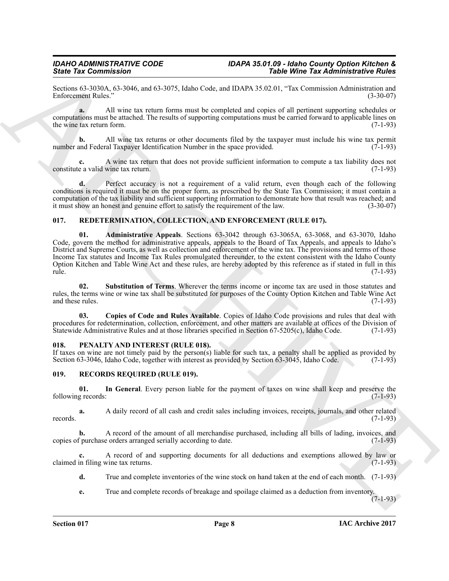Sections 63-3030A, 63-3046, and 63-3075, Idaho Code, and IDAPA 35.02.01, "Tax Commission Administration and Enforcement Rules." (3-30-07) Enforcement Rules."

**a.** All wine tax return forms must be completed and copies of all pertinent supporting schedules or computations must be attached. The results of supporting computations must be carried forward to applicable lines on the wine tax return form.  $(7-1-93)$ 

**b.** All wine tax returns or other documents filed by the taxpayer must include his wine tax permit and Federal Taxpayer Identification Number in the space provided. (7-1-93) number and Federal Taxpayer Identification Number in the space provided.

**c.** A wine tax return that does not provide sufficient information to compute a tax liability does not a valid wine tax return. (7-1-93) constitute a valid wine tax return.

**d.** Perfect accuracy is not a requirement of a valid return, even though each of the following conditions is required it must be on the proper form, as prescribed by the State Tax Commission; it must contain a computation of the tax liability and sufficient supporting information to demonstrate how that result was reached; and it must show an honest and genuine effort to satisfy the requirement of the law. (3-30-07) it must show an honest and genuine effort to satisfy the requirement of the law.

#### <span id="page-7-7"></span><span id="page-7-6"></span><span id="page-7-0"></span>**017. REDETERMINATION, COLLECTION, AND ENFORCEMENT (RULE 017).**

Since Tax Gomentzial comparison in the SMD Likelao College and DAMA SECULAR DEVICE Tax Gomentzial control of the SMD Likelao College and College and College and College and College and College and College and College and **01. Administrative Appeals**. Sections 63-3042 through 63-3065A, 63-3068, and 63-3070, Idaho Code, govern the method for administrative appeals, appeals to the Board of Tax Appeals, and appeals to Idaho's District and Supreme Courts, as well as collection and enforcement of the wine tax. The provisions and terms of those Income Tax statutes and Income Tax Rules promulgated thereunder, to the extent consistent with the Idaho County Option Kitchen and Table Wine Act and these rules, are hereby adopted by this reference as if stated in full in this rule. (7-1-93)

<span id="page-7-9"></span>**02. Substitution of Terms**. Wherever the terms income or income tax are used in those statutes and rules, the terms wine or wine tax shall be substituted for purposes of the County Option Kitchen and Table Wine Act and these rules.

<span id="page-7-8"></span>**03. Copies of Code and Rules Available**. Copies of Idaho Code provisions and rules that deal with procedures for redetermination, collection, enforcement, and other matters are available at offices of the Division of Statewide Administrative Rules and at those libraries specified in Section 67-5205(c), Idaho Code. (7-1-93)

#### <span id="page-7-3"></span><span id="page-7-1"></span>**018. PENALTY AND INTEREST (RULE 018).**

If taxes on wine are not timely paid by the person(s) liable for such tax, a penalty shall be applied as provided by Section  $63-3045$ , Idaho Code. (7-1-93) Section 63-3046, Idaho Code, together with interest as provided by Section 63-3045, Idaho Code.

#### <span id="page-7-4"></span><span id="page-7-2"></span>**019. RECORDS REQUIRED (RULE 019).**

<span id="page-7-5"></span>**01. In General**. Every person liable for the payment of taxes on wine shall keep and preserve the following records: (7-1-93)

**a.** A daily record of all cash and credit sales including invoices, receipts, journals, and other related (7-1-93) records.  $(7-1-93)$ 

**b.** A record of the amount of all merchandise purchased, including all bills of lading, invoices, and copies of purchase orders arranged serially according to date.

**c.** A record of and supporting documents for all deductions and exemptions allowed by law or claimed in filing wine tax returns. (7-1-93)

**d.** True and complete inventories of the wine stock on hand taken at the end of each month. (7-1-93)

**e.** True and complete records of breakage and spoilage claimed as a deduction from inventory.

 $(7-1-93)$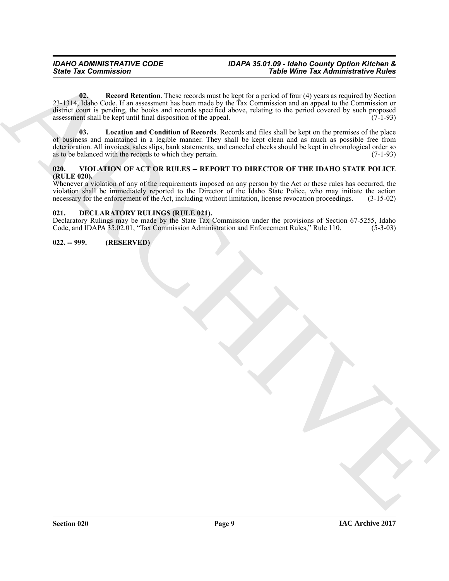<span id="page-8-5"></span><span id="page-8-4"></span>**02.** Record Retention. These records must be kept for a period of four (4) years as required by Section 23-1314, Idaho Code. If an assessment has been made by the Tax Commission and an appeal to the Commission or district court is pending, the books and records specified above, relating to the period covered by such proposed assessment shall be kept until final disposition of the appeal.  $(7-1-93)$ 

Since Yar Commission<br>  $\frac{1}{2}$  and  $\frac{1}{2}$  and  $\frac{1}{2}$  and  $\frac{1}{2}$  and  $\frac{1}{2}$  and  $\frac{1}{2}$  and  $\frac{1}{2}$  and  $\frac{1}{2}$  and  $\frac{1}{2}$  and  $\frac{1}{2}$  and  $\frac{1}{2}$  and  $\frac{1}{2}$  and  $\frac{1}{2}$  and  $\frac{1}{2}$  and  $\frac$ **03. Location and Condition of Records**. Records and files shall be kept on the premises of the place of business and maintained in a legible manner. They shall be kept clean and as much as possible free from deterioration. All invoices, sales slips, bank statements, and canceled checks should be kept in chronological order so as to be balanced with the records to which they pertain. (7-1-93)

#### <span id="page-8-6"></span><span id="page-8-0"></span>**020. VIOLATION OF ACT OR RULES -- REPORT TO DIRECTOR OF THE IDAHO STATE POLICE (RULE 020).**

Whenever a violation of any of the requirements imposed on any person by the Act or these rules has occurred, the violation shall be immediately reported to the Director of the Idaho State Police, who may initiate the action necessary for the enforcement of the Act, including without limitation, license revocation proceedings. (3-15-02)

#### <span id="page-8-3"></span><span id="page-8-1"></span>**021. DECLARATORY RULINGS (RULE 021).**

Declaratory Rulings may be made by the State Tax Commission under the provisions of Section 67-5255, Idaho Code, and IDAPA 35.02.01, "Tax Commission Administration and Enforcement Rules," Rule 110. (5-3-03) Code, and IDAPA 35.02.01, "Tax Commission Administration and Enforcement Rules," Rule 110.

#### <span id="page-8-2"></span>**022. -- 999. (RESERVED)**